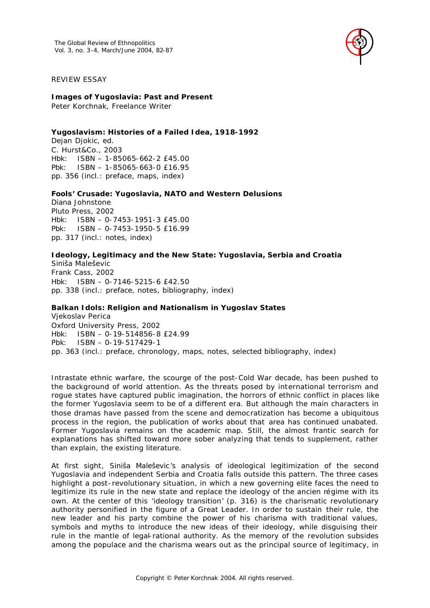The Global Review of Ethnopolitics Vol. 3, no. 3-4, March/June 2004, 82-87



REVIEW ESSAY

**Images of Yugoslavia: Past and Present**

*Peter Korchnak, Freelance Writer*

## **Yugoslavism: Histories of a Failed Idea, 1918-1992**

Dejan Djokic, ed. C. Hurst&Co., 2003 Hbk: ISBN – 1-85065-662-2 £45.00 Pbk: ISBN – 1-85065-663-0 £16.95 pp. 356 (incl.: preface, maps, index)

## **Fools' Crusade: Yugoslavia, NATO and Western Delusions**

Diana Johnstone Pluto Press, 2002 Hbk: ISBN – 0-7453-1951-3 £45.00 Pbk: ISBN – 0-7453-1950-5 £16.99 pp. 317 (incl.: notes, index)

## **Ideology, Legitimacy and the New State: Yugoslavia, Serbia and Croatia**

Siniša Maleševic Frank Cass, 2002 Hbk: ISBN – 0-7146-5215-6 £42.50 pp. 338 (incl.: preface, notes, bibliography, index)

## **Balkan Idols: Religion and Nationalism in Yugoslav States**

Vjekoslav Perica Oxford University Press, 2002 Hbk: ISBN – 0-19-514856-8 £24.99 Pbk: ISBN – 0-19-517429-1 pp. 363 (incl.: preface, chronology, maps, notes, selected bibliography, index)

Intrastate ethnic warfare, the scourge of the post-Cold War decade, has been pushed to the background of world attention. As the threats posed by international terrorism and rogue states have captured public imagination, the horrors of ethnic conflict in places like the former Yugoslavia seem to be of a different era. But although the main characters in those dramas have passed from the scene and democratization has become a ubiquitous process in the region, the publication of works about that area has continued unabated. Former Yugoslavia remains on the academic map. Still, the almost frantic search for explanations has shifted toward more sober analyzing that tends to supplement, rather than explain, the existing literature.

At first sight, Siniša Maleševic 's analysis of ideological legitimization of the second Yugoslavia and independent Serbia and Croatia falls outside this pattern. The three cases highlight a post-revolutionary situation, in which a new governing elite faces the need to legitimize its rule in the new state and replace the ideology of the ancien régime with its own. At the center of this 'ideology transition' (p. 316) is the charismatic revolutionary authority personified in the figure of a Great Leader. In order to sustain their rule, the new leader and his party combine the power of his charisma with traditional values, symbols and myths to introduce the new ideas of their ideology, while disguising their rule in the mantle of legal-rational authority. As the memory of the revolution subsides among the populace and the charisma wears out as the principal source of legitimacy, in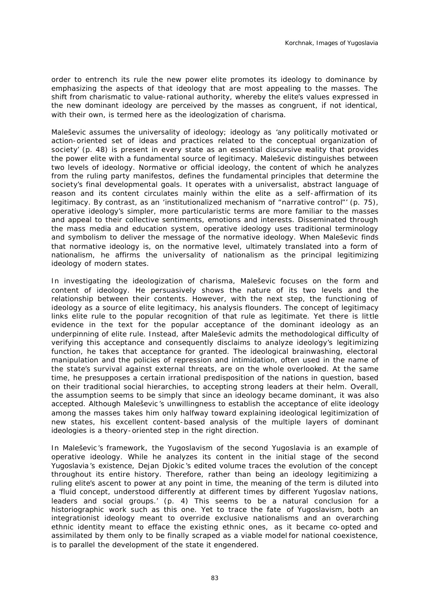order to entrench its rule the new power elite promotes its ideology to dominance by emphasizing the aspects of that ideology that are most appealing to the masses. The shift from charismatic to value-rational authority, whereby the elite's values expressed in the new dominant ideology are perceived by the masses as congruent, if not identical, with their own, is termed here as the ideologization of charisma.

Maleševic assumes the universality of ideology; ideology as 'any politically motivated or action-oriented set of ideas and practices related to the conceptual organization of society' (p. 48) is present in every state as an essential discursive reality that provides the power elite with a fundamental source of legitimacy. Maleševic distinguishes between two levels of ideology. Normative or official ideology, the content of which he analyzes from the ruling party manifestos, defines the fundamental principles that determine the society's final developmental goals. It operates with a universalist, abstract language of reason and its content circulates mainly within the elite as a self-affirmation of its legitimacy. By contrast, as an 'institutionalized mechanism of "narrative control"' (p. 75), operative ideology's simpler, more particularistic terms are more familiar to the masses and appeal to their collective sentiments, emotions and interests. Disseminated through the mass media and education system, operative ideology uses traditional terminology and symbolism to deliver the message of the normative ideology. When Maleševic finds that normative ideology is, on the normative level, ultimately translated into a form of nationalism, he affirms the universality of nationalism as the principal legitimizing ideology of modern states.

In investigating the ideologization of charisma, Maleševic focuses on the form and content of ideology. He persuasively shows the nature of its two levels and the relationship between their contents. However, with the next step, the functioning of ideology as a source of elite legitimacy, his analysis flounders. The concept of legitimacy links elite rule to the popular recognition of that rule as legitimate. Yet there is little evidence in the text for the popular acceptance of the dominant ideology as an underpinning of elite rule. Instead, after Maleševic admits the methodological difficulty of verifying this acceptance and consequently disclaims to analyze ideology's legitimizing function, he takes that acceptance for granted. The ideological brainwashing, electoral manipulation and the policies of repression and intimidation, often used in the name of the state's survival against external threats, are on the whole overlooked. At the same time, he presupposes a certain irrational predisposition of the nations in question, based on their traditional social hierarchies, to accepting strong leaders at their helm. Overall, the assumption seems to be simply that since an ideology became dominant, it was also accepted. Although Maleševic 's unwillingness to establish the acceptance of elite ideology among the masses takes him only halfway toward explaining ideological legitimization of new states, his excellent content-based analysis of the multiple layers of dominant ideologies is a theory-oriented step in the right direction.

In Maleševic 's framework, the Yugoslavism of the second Yugoslavia is an example of operative ideology. While he analyzes its content in the initial stage of the second Yugoslavia 's existence, Dejan Djokic 's edited volume traces the evolution of the concept throughout its entire history. Therefore, rather than being an ideology legitimizing a ruling elite's ascent to power at any point in time, the meaning of the term is diluted into a 'fluid concept, understood differently at different times by different Yugoslav nations, leaders and social groups.' (p. 4) This seems to be a natural conclusion for a historiographic work such as this one. Yet to trace the fate of Yugoslavism, both an integrationist ideology meant to override exclusive nationalisms and an overarching ethnic identity meant to efface the existing ethnic ones, as it became co-opted and assimilated by them only to be finally scraped as a viable model for national coexistence, is to parallel the development of the state it engendered.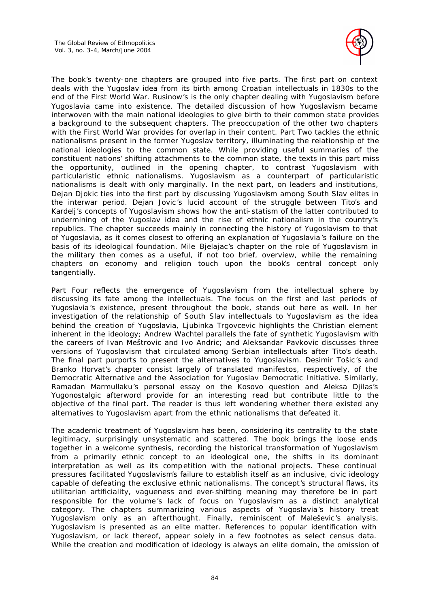

The book's twenty-one chapters are grouped into five parts. The first part on context deals with the Yugoslav idea from its birth among Croatian intellectuals in 1830s to the end of the First World War. Rusinow's is the only chapter dealing with Yugoslavism before Yugoslavia came into existence. The detailed discussion of how Yugoslavism became interwoven with the main national ideologies to give birth to their common state provides a background to the subsequent chapters. The preoccupation of the other two chapters with the First World War provides for overlap in their content. Part Two tackles the ethnic nationalisms present in the former Yugoslav territory, illuminating the relationship of the national ideologies to the common state. While providing useful summaries of the constituent nations' shifting attachments to the common state, the texts in this part miss the opportunity, outlined in the opening chapter, to contrast Yugoslavism with particularistic ethnic nationalisms. Yugoslavism as a counterpart of particularistic nationalisms is dealt with only marginally. In the next part, on leaders and institutions, Dejan Djokic ties into the first part by discussing Yugoslavism among South Slav elites in the interwar period. Dejan Jovic 's lucid account of the struggle between Tito's and Kardelj's concepts of Yugoslavism shows how the anti-statism of the latter contributed to undermining of the Yugoslav idea and the rise of ethnic nationalism in the country's republics. The chapter succeeds mainly in connecting the history of Yugoslavism to that of Yugoslavia, as it comes closest to offering an explanation of Yugoslavia 's failure on the basis of its ideological foundation. Mile Bjelajac's chapter on the role of Yugoslavism in the military then comes as a useful, if not too brief, overview, while the remaining chapters on economy and religion touch upon the book's central concept only tangentially.

Part Four reflects the emergence of Yugoslavism from the intellectual sphere by discussing its fate among the intellectuals. The focus on the first and last periods of Yugoslavia 's existence, present throughout the book, stands out here as well. In her investigation of the relationship of South Slav intellectuals to Yugoslavism as the idea behind the creation of Yugoslavia, Ljubinka Trgovcevic highlights the Christian element inherent in the ideology; Andrew Wachtel parallels the fate of synthetic Yugoslavism with the careers of Ivan Meštrovic and Ivo Andric; and Aleksandar Pavkovic discusses three versions of Yugoslavism that circulated among Serbian intellectuals after Tito's death. The final part purports to present the alternatives to Yugoslavism. Desimir Tošic 's and Branko Horvat's chapter consist largely of translated manifestos, respectively, of the Democratic Alternative and the Association for Yugoslav Democratic Initiative. Similarly, Ramadan Marmullaku's personal essay on the Kosovo question and Aleksa Djilas's Yugonostalgic afterword provide for an interesting read but contribute little to the objective of the final part. The reader is thus left wondering whether there existed any alternatives to Yugoslavism apart from the ethnic nationalisms that defeated it.

The academic treatment of Yugoslavism has been, considering its centrality to the state legitimacy, surprisingly unsystematic and scattered. The book brings the loose ends together in a welcome synthesis, recording the historical transformation of Yugoslavism from a primarily ethnic concept to an ideological one, the shifts in its dominant interpretation as well as its comp etition with the national projects. These continual pressures facilitated Yugoslavism's failure to establish itself as an inclusive, civic ideology capable of defeating the exclusive ethnic nationalisms. The concept's structural flaws, its utilitarian artificiality, vagueness and ever-shifting meaning may therefore be in part responsible for the volume 's lack of focus on Yugoslavism as a distinct analytical category. The chapters summarizing various aspects of Yugoslavia's history treat Yugoslavism only as an afterthought. Finally, reminiscent of Maleševic 's analysis, Yugoslavism is presented as an elite matter. References to popular identification with Yugoslavism, or lack thereof, appear solely in a few footnotes as select census data. While the creation and modification of ideology is always an elite domain, the omission of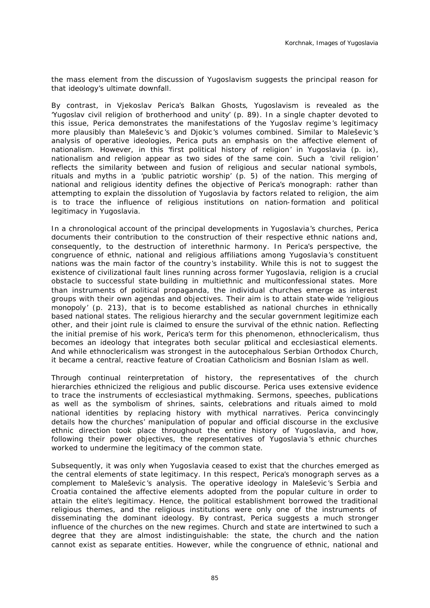the mass element from the discussion of Yugoslavism suggests the principal reason for that ideology's ultimate downfall.

By contrast, in Vjekoslav Perica's *Balkan Ghosts*, Yugoslavism is revealed as the 'Yugoslav civil religion of brotherhood and unity' (p. 89). In a single chapter devoted to this issue, Perica demonstrates the manifestations of the Yugoslav regime 's legitimacy more plausibly than Maleševic 's and Djokic 's volumes combined. Similar to Maleševic 's analysis of operative ideologies, Perica puts an emphasis on the affective element of nationalism. However, in this 'first political history of religion' in Yugoslavia (p. ix), nationalism and religion appear as two sides of the same coin. Such a 'civil religion' reflects the similarity between and fusion of religious and secular national symbols, rituals and myths in a 'public patriotic worship' (p. 5) of the nation. This merging of national and religious identity defines the objective of Perica's monograph: rather than attempting to explain the dissolution of Yugoslavia by factors related to religion, the aim is to trace the influence of religious institutions on nation-formation and political legitimacy in Yugoslavia.

In a chronological account of the principal developments in Yugoslavia's churches, Perica documents their contribution to the construction of their respective ethnic nations and, consequently, to the destruction of interethnic harmony. In Perica's perspective, the congruence of ethnic, national and religious affiliations among Yugoslavia's constituent nations was the main factor of the country's instability. While this is not to suggest the existence of civilizational fault lines running across former Yugoslavia, religion is a crucial obstacle to successful state-building in multiethnic and multiconfessional states. More than instruments of political propaganda, the individual churches emerge as interest groups with their own agendas and objectives. Their aim is to attain state-wide 'religious monopoly' (p. 213), that is to become established as national churches in ethnically based national states. The religious hierarchy and the secular government legitimize each other, and their joint rule is claimed to ensure the survival of the ethnic nation. Reflecting the initial premise of his work, Perica's term for this phenomenon, ethnoclericalism, thus becomes an ideology that integrates both secular political and ecclesiastical elements. And while ethnoclericalism was strongest in the autocephalous Serbian Orthodox Church, it became a central, reactive feature of Croatian Catholicism and Bosnian Islam as well.

Through continual reinterpretation of history, the representatives of the church hierarchies ethnicized the religious and public discourse. Perica uses extensive evidence to trace the instruments of ecclesiastical mythmaking. Sermons, speeches, publications as well as the symbolism of shrines, saints, celebrations and rituals aimed to mold national identities by replacing history with mythical narratives. Perica convincingly details how the churches' manipulation of popular and official discourse in the exclusive ethnic direction took place throughout the entire history of Yugoslavia, and how, following their power objectives, the representatives of Yugoslavia 's ethnic churches worked to undermine the legitimacy of the common state.

Subsequently, it was only when Yugoslavia ceased to exist that the churches emerged as the central elements of state legitimacy. In this respect, Perica's monograph serves as a complement to Maleševic 's analysis. The operative ideology in Maleševic 's Serbia and Croatia contained the affective elements adopted from the popular culture in order to attain the elite's legitimacy. Hence, the political establishment borrowed the traditional religious themes, and the religious institutions were only one of the instruments of disseminating the dominant ideology. By contrast, Perica suggests a much stronger influence of the churches on the new regimes. Church and state are intertwined to such a degree that they are almost indistinguishable: the state, the church and the nation cannot exist as separate entities. However, while the congruence of ethnic, national and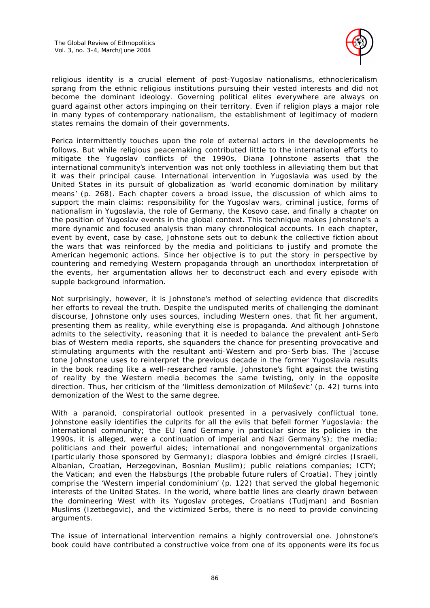

religious identity is a crucial element of post-Yugoslav nationalisms, ethnoclericalism sprang from the ethnic religious institutions pursuing their vested interests and did not become the dominant ideology. Governing political elites everywhere are always on guard against other actors impinging on their territory. Even if religion plays a major role in many types of contemporary nationalism, the establishment of legitimacy of modern states remains the domain of their governments.

Perica intermittently touches upon the role of external actors in the developments he follows. But while religious peacemaking contributed little to the international efforts to mitigate the Yugoslav conflicts of the 1990s, Diana Johnstone asserts that the international community's intervention was not only toothless in alleviating them but that it was their principal cause. International intervention in Yugoslavia was used by the United States in its pursuit of globalization as 'world economic domination by military means' (p. 268). Each chapter covers a broad issue, the discussion of which aims to support the main claims: responsibility for the Yugoslav wars, criminal justice, forms of nationalism in Yugoslavia, the role of Germany, the Kosovo case, and finally a chapter on the position of Yugoslav events in the global context. This technique makes Johnstone's a more dynamic and focused analysis than many chronological accounts. In each chapter, event by event, case by case, Johnstone sets out to debunk the collective fiction about the wars that was reinforced by the media and politicians to justify and promote the American hegemonic actions. Since her objective is to put the story in perspective by countering and remedying Western propaganda through an unorthodox interpretation of the events, her argumentation allows her to deconstruct each and every episode with supple background information.

Not surprisingly, however, it is Johnstone's method of selecting evidence that discredits her efforts to reveal the truth. Despite the undisputed merits of challenging the dominant discourse, Johnstone only uses sources, including Western ones, that fit her argument, presenting them as reality, while everything else is propaganda. And although Johnstone admits to the selectivity, reasoning that it is needed to balance the prevalent anti-Serb bias of Western media reports, she squanders the chance for presenting provocative and stimulating arguments with the resultant anti-Western and pro-Serb bias. The *j'accuse* tone Johnstone uses to reinterpret the previous decade in the former Yugoslavia results in the book reading like a well-researched ramble. Johnstone's fight against the twisting of reality by the Western media becomes the same twisting, only in the opposite direction. Thus, her criticism of the 'limitless demonization of Miloševic' (p. 42) turns into demonization of the West to the same degree.

With a paranoid, conspiratorial outlook presented in a pervasively conflictual tone, Johnstone easily identifies the culprits for all the evils that befell former Yugoslavia: the international community; the EU (and Germany in particular since its policies in the 1990s, it is alleged, were a continuation of imperial and Nazi Germany's); the media; politicians and their powerful aides; international and nongovernmental organizations (particularly those sponsored by Germany); diaspora lobbies and émigré circles (Israeli, Albanian, Croatian, Herzegovinan, Bosnian Muslim); public relations companies; ICTY; the Vatican; and even the Habsburgs (the probable future rulers of Croatia). They jointly comprise the 'Western imperial condominium' (p. 122) that served the global hegemonic interests of the United States. In the world, where battle lines are clearly drawn between the domineering West with its Yugoslav proteges, Croatians (Tudjman) and Bosnian Muslims (Izetbegovic), and the victimized Serbs, there is no need to provide convincing arguments.

The issue of international intervention remains a highly controversial one. Johnstone's book could have contributed a constructive voice from one of its opponents were its focus